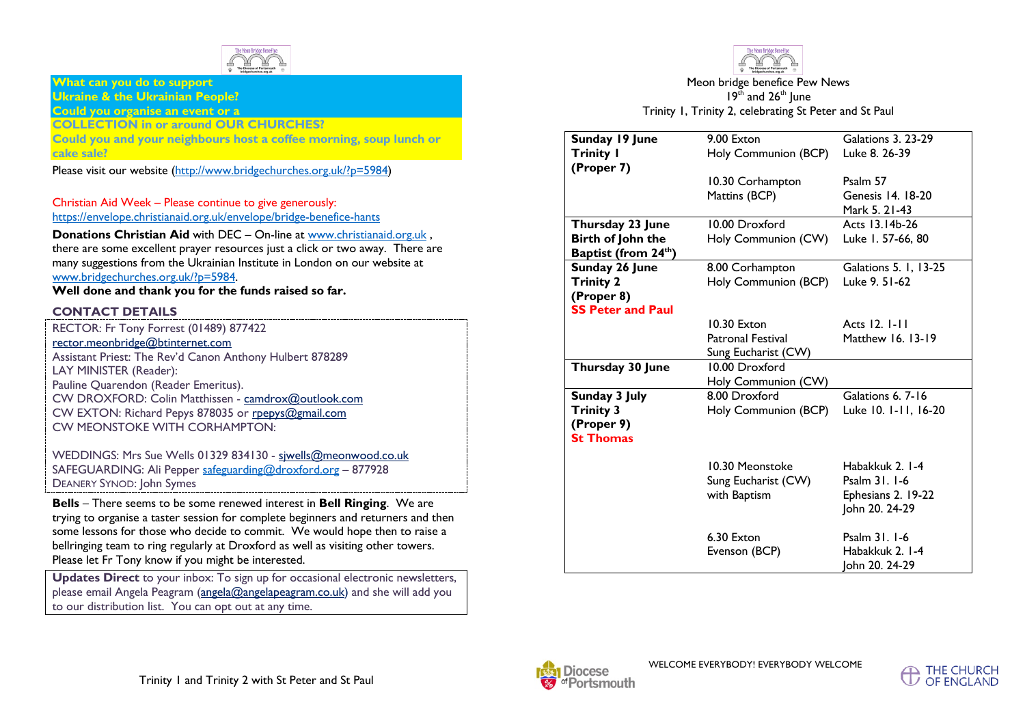

### **What can you do to support Ukraine & the Ukrainian People?**

#### **Could you organise an event or a COLLECTION in or around OUR CHURCHES?**

**Could you and your neighbours host a coffee morning, soup lunch or cake sale?** 

Please visit our website (http://www.bridgechurches.org.uk/?p=5984)

#### Christian Aid Week – Please continue to give generously: https://envelope.christianaid.org.uk/envelope/bridge-benefice-hants

**Donations Christian Aid** with DEC – On-line at www.christianaid.org.uk, there are some excellent prayer resources just a click or two away. There are many suggestions from the Ukrainian Institute in London on our website at www.bridgechurches.org.uk/?p=5984.

**Well done and thank you for the funds raised so far.**

## **CONTACT DETAILS**

WEDDINGS: Mrs Sue Wells 01329 834130 - sjwells@meonwood.co.uk SAFEGUARDING: Ali Pepper safeguarding@droxford.org – 877928 DEANERY SYNOD: John Symes

**Bells** – There seems to be some renewed interest in **Bell Ringing**. We are trying to organise a taster session for complete beginners and returners and then some lessons for those who decide to commit. We would hope then to raise a bellringing team to ring regularly at Droxford as well as visiting other towers. Please let Fr Tony know if you might be interested.

**Updates Direct** to your inbox: To sign up for occasional electronic newsletters, please email Angela Peagram (angela@angelapeagram.co.uk) and she will add you to our distribution list. You can opt out at any time.



Meon bridge benefice Pew News  $19<sup>th</sup>$  and  $26<sup>th</sup>$  June Trinity 1, Trinity 2, celebrating St Peter and St Paul

| Sunday 19 June                   | 9.00 Exton               | <b>Galations 3. 23-29</b> |
|----------------------------------|--------------------------|---------------------------|
|                                  |                          |                           |
| <b>Trinity I</b>                 | Holy Communion (BCP)     | Luke 8. 26-39             |
| (Proper 7)                       |                          |                           |
|                                  | 10.30 Corhampton         | Psalm 57                  |
|                                  | Mattins (BCP)            | Genesis 14. 18-20         |
|                                  |                          | Mark 5. 21-43             |
| Thursday 23 June                 | 10.00 Droxford           | Acts 13.14b-26            |
| Birth of John the                | Holy Communion (CW)      | Luke 1. 57-66, 80         |
| Baptist (from 24 <sup>th</sup> ) |                          |                           |
| Sunday 26 June                   | 8.00 Corhampton          | Galations 5. I, 13-25     |
| <b>Trinity 2</b>                 | Holy Communion (BCP)     | Luke 9. 51-62             |
| (Proper 8)                       |                          |                           |
| <b>SS Peter and Paul</b>         |                          |                           |
|                                  | 10.30 Exton              | Acts 12, 1-11             |
|                                  | <b>Patronal Festival</b> | Matthew 16, 13-19         |
|                                  | Sung Eucharist (CW)      |                           |
| Thursday 30 June                 | 10.00 Droxford           |                           |
|                                  | Holy Communion (CW)      |                           |
| Sunday 3 July                    | 8.00 Droxford            | Galations 6, 7-16         |
| <b>Trinity 3</b>                 | Holy Communion (BCP)     | Luke 10. 1-11, 16-20      |
| (Proper 9)                       |                          |                           |
| <b>St Thomas</b>                 |                          |                           |
|                                  |                          |                           |
|                                  | 10.30 Meonstoke          | Habakkuk 2. I-4           |
|                                  | Sung Eucharist (CW)      | Psalm 31, 1-6             |
|                                  | with Baptism             | Ephesians 2. 19-22        |
|                                  |                          | John 20. 24-29            |
|                                  |                          |                           |
|                                  | 6.30 Exton               | Psalm 31. 1-6             |
|                                  | Evenson (BCP)            | Habakkuk 2. 1-4           |
|                                  |                          |                           |
|                                  |                          | John 20. 24-29            |